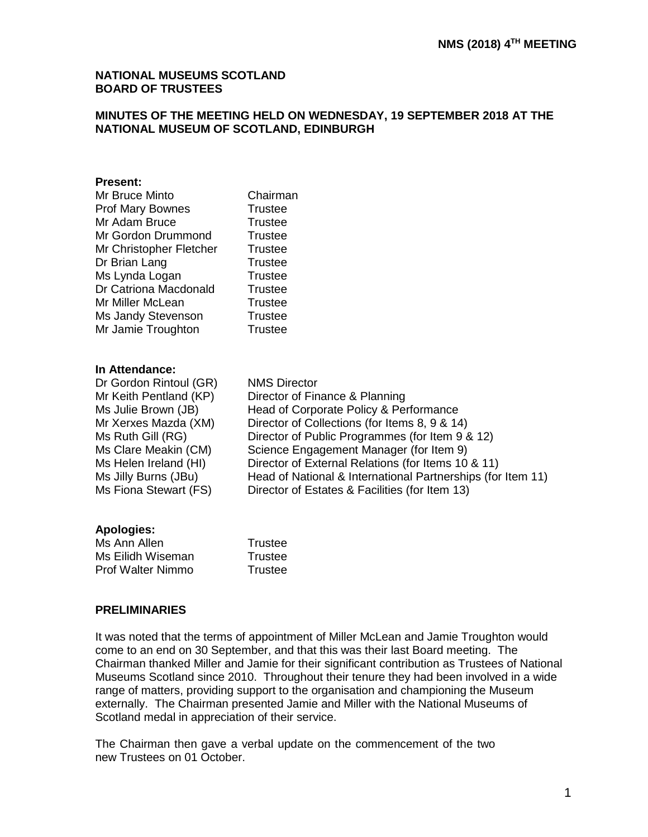# **NATIONAL MUSEUMS SCOTLAND BOARD OF TRUSTEES**

# **MINUTES OF THE MEETING HELD ON WEDNESDAY, 19 SEPTEMBER 2018 AT THE NATIONAL MUSEUM OF SCOTLAND, EDINBURGH**

# **Present:**

| Mr Bruce Minto          | Chairman       |
|-------------------------|----------------|
| <b>Prof Mary Bownes</b> | <b>Trustee</b> |
| Mr Adam Bruce           | <b>Trustee</b> |
| Mr Gordon Drummond      | Trustee        |
| Mr Christopher Fletcher | <b>Trustee</b> |
| Dr Brian Lang           | <b>Trustee</b> |
| Ms Lynda Logan          | <b>Trustee</b> |
| Dr Catriona Macdonald   | <b>Trustee</b> |
| Mr Miller McLean        | <b>Trustee</b> |
| Ms Jandy Stevenson      | <b>Trustee</b> |
| Mr Jamie Troughton      | <b>Trustee</b> |
|                         |                |

# **In Attendance:**

Dr Gordon Rintoul (GR) NMS Director Mr Keith Pentland (KP) Director of Finance & Planning Ms Julie Brown (JB) Head of Corporate Policy & Performance Mr Xerxes Mazda (XM) Director of Collections (for Items 8, 9 & 14) Ms Ruth Gill (RG) Director of Public Programmes (for Item 9 & 12) Ms Clare Meakin (CM) Science Engagement Manager (for Item 9) Ms Helen Ireland (HI) Director of External Relations (for Items 10 & 11) Ms Jilly Burns (JBu) Head of National & International Partnerships (for Item 11) Ms Fiona Stewart (FS) Director of Estates & Facilities (for Item 13)

# **Apologies:**

| Ms Ann Allen      | Trustee |
|-------------------|---------|
| Ms Eilidh Wiseman | Trustee |
| Prof Walter Nimmo | Trustee |

# **PRELIMINARIES**

It was noted that the terms of appointment of Miller McLean and Jamie Troughton would come to an end on 30 September, and that this was their last Board meeting. The Chairman thanked Miller and Jamie for their significant contribution as Trustees of National Museums Scotland since 2010. Throughout their tenure they had been involved in a wide range of matters, providing support to the organisation and championing the Museum externally. The Chairman presented Jamie and Miller with the National Museums of Scotland medal in appreciation of their service.

The Chairman then gave a verbal update on the commencement of the two new Trustees on 01 October.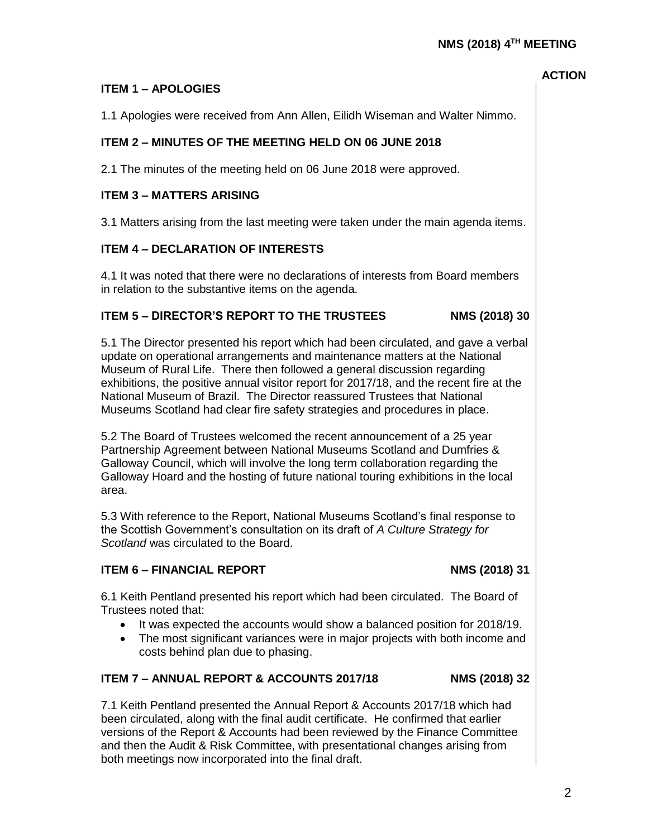2

# **ITEM 5 – DIRECTOR'S REPORT TO THE TRUSTEES NMS (2018) 30 ITEM 6 – FINANCIAL REPORT NMS (2018) 31** Trustees noted that: • It was expected the accounts would show a balanced position for 2018/19. costs behind plan due to phasing. **ITEM 7 – ANNUAL REPORT & ACCOUNTS 2017/18 NMS (2018) 32** 7.1 Keith Pentland presented the Annual Report & Accounts 2017/18 which had been circulated, along with the final audit certificate. He confirmed that earlier versions of the Report & Accounts had been reviewed by the Finance Committee and then the Audit & Risk Committee, with presentational changes arising from both meetings now incorporated into the final draft.

# **ITEM 1 – APOLOGIES**

1.1 Apologies were received from Ann Allen, Eilidh Wiseman and Walter Nimmo.

# **ITEM 2 – MINUTES OF THE MEETING HELD ON 06 JUNE 2018**

2.1 The minutes of the meeting held on 06 June 2018 were approved.

# **ITEM 3 – MATTERS ARISING**

3.1 Matters arising from the last meeting were taken under the main agenda items.

# **ITEM 4 – DECLARATION OF INTERESTS**

4.1 It was noted that there were no declarations of interests from Board members in relation to the substantive items on the agenda.

5.1 The Director presented his report which had been circulated, and gave a verbal update on operational arrangements and maintenance matters at the National Museum of Rural Life. There then followed a general discussion regarding exhibitions, the positive annual visitor report for 2017/18, and the recent fire at the National Museum of Brazil. The Director reassured Trustees that National Museums Scotland had clear fire safety strategies and procedures in place.

5.2 The Board of Trustees welcomed the recent announcement of a 25 year Partnership Agreement between National Museums Scotland and Dumfries & Galloway Council, which will involve the long term collaboration regarding the Galloway Hoard and the hosting of future national touring exhibitions in the local area.

5.3 With reference to the Report, National Museums Scotland's final response to the Scottish Government's consultation on its draft of *A Culture Strategy for Scotland* was circulated to the Board.

6.1 Keith Pentland presented his report which had been circulated. The Board of

- 
- The most significant variances were in major projects with both income and

**ACTION**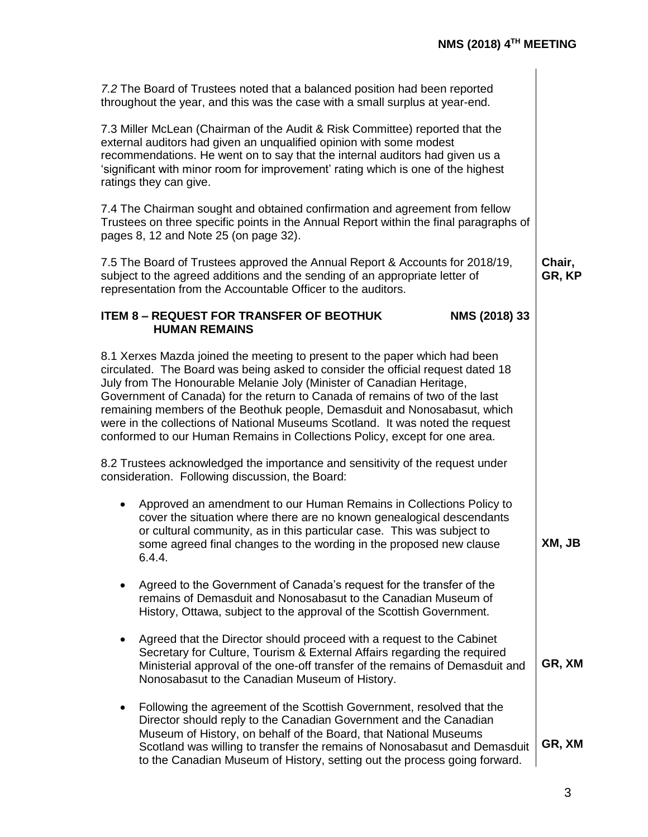| 7.2 The Board of Trustees noted that a balanced position had been reported<br>throughout the year, and this was the case with a small surplus at year-end.                                                                                                                                                                                                                                                                                                                                                                                                          |                  |
|---------------------------------------------------------------------------------------------------------------------------------------------------------------------------------------------------------------------------------------------------------------------------------------------------------------------------------------------------------------------------------------------------------------------------------------------------------------------------------------------------------------------------------------------------------------------|------------------|
| 7.3 Miller McLean (Chairman of the Audit & Risk Committee) reported that the<br>external auditors had given an unqualified opinion with some modest<br>recommendations. He went on to say that the internal auditors had given us a<br>'significant with minor room for improvement' rating which is one of the highest<br>ratings they can give.                                                                                                                                                                                                                   |                  |
| 7.4 The Chairman sought and obtained confirmation and agreement from fellow<br>Trustees on three specific points in the Annual Report within the final paragraphs of<br>pages 8, 12 and Note 25 (on page 32).                                                                                                                                                                                                                                                                                                                                                       |                  |
| 7.5 The Board of Trustees approved the Annual Report & Accounts for 2018/19,<br>subject to the agreed additions and the sending of an appropriate letter of<br>representation from the Accountable Officer to the auditors.                                                                                                                                                                                                                                                                                                                                         | Chair,<br>GR, KP |
| <b>ITEM 8 - REQUEST FOR TRANSFER OF BEOTHUK</b><br>NMS (2018) 33<br><b>HUMAN REMAINS</b>                                                                                                                                                                                                                                                                                                                                                                                                                                                                            |                  |
| 8.1 Xerxes Mazda joined the meeting to present to the paper which had been<br>circulated. The Board was being asked to consider the official request dated 18<br>July from The Honourable Melanie Joly (Minister of Canadian Heritage,<br>Government of Canada) for the return to Canada of remains of two of the last<br>remaining members of the Beothuk people, Demasduit and Nonosabasut, which<br>were in the collections of National Museums Scotland. It was noted the request<br>conformed to our Human Remains in Collections Policy, except for one area. |                  |
| 8.2 Trustees acknowledged the importance and sensitivity of the request under<br>consideration. Following discussion, the Board:                                                                                                                                                                                                                                                                                                                                                                                                                                    |                  |
| Approved an amendment to our Human Remains in Collections Policy to<br>$\bullet$<br>cover the situation where there are no known genealogical descendants<br>or cultural community, as in this particular case. This was subject to<br>some agreed final changes to the wording in the proposed new clause<br>6.4.4.                                                                                                                                                                                                                                                | XM, JB           |
| Agreed to the Government of Canada's request for the transfer of the<br>remains of Demasduit and Nonosabasut to the Canadian Museum of<br>History, Ottawa, subject to the approval of the Scottish Government.                                                                                                                                                                                                                                                                                                                                                      |                  |
| Agreed that the Director should proceed with a request to the Cabinet<br>٠<br>Secretary for Culture, Tourism & External Affairs regarding the required<br>Ministerial approval of the one-off transfer of the remains of Demasduit and<br>Nonosabasut to the Canadian Museum of History.                                                                                                                                                                                                                                                                            | GR, XM           |
| Following the agreement of the Scottish Government, resolved that the<br>٠<br>Director should reply to the Canadian Government and the Canadian<br>Museum of History, on behalf of the Board, that National Museums<br>Scotland was willing to transfer the remains of Nonosabasut and Demasduit<br>to the Canadian Museum of History, setting out the process going forward.                                                                                                                                                                                       | GR, XM           |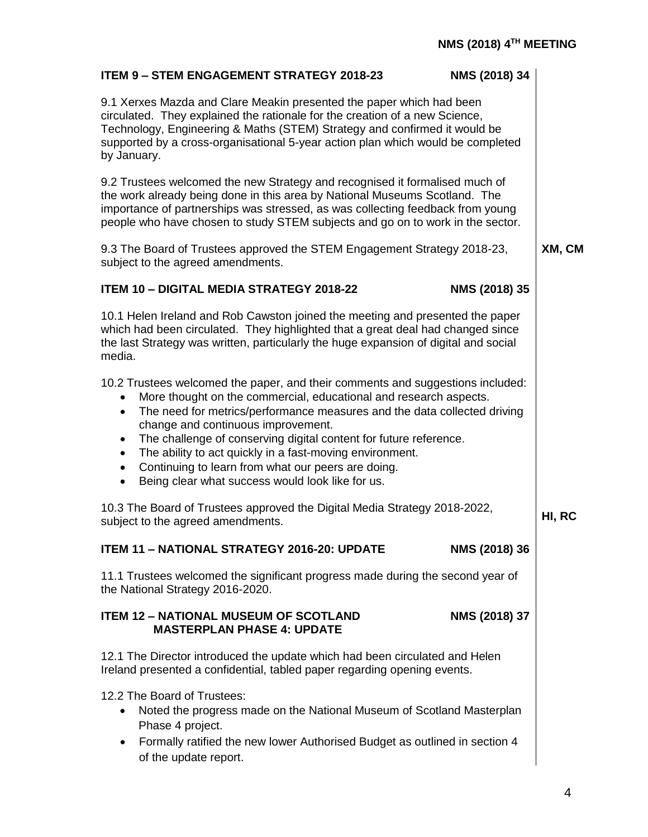| NMS (2018) 34<br><b>ITEM 9 - STEM ENGAGEMENT STRATEGY 2018-23</b>                                                                                                                                                                                                                                                                                                                                                                                                                                                                                                                              |        |  |
|------------------------------------------------------------------------------------------------------------------------------------------------------------------------------------------------------------------------------------------------------------------------------------------------------------------------------------------------------------------------------------------------------------------------------------------------------------------------------------------------------------------------------------------------------------------------------------------------|--------|--|
| 9.1 Xerxes Mazda and Clare Meakin presented the paper which had been<br>circulated. They explained the rationale for the creation of a new Science,<br>Technology, Engineering & Maths (STEM) Strategy and confirmed it would be<br>supported by a cross-organisational 5-year action plan which would be completed<br>by January.                                                                                                                                                                                                                                                             |        |  |
| 9.2 Trustees welcomed the new Strategy and recognised it formalised much of<br>the work already being done in this area by National Museums Scotland. The<br>importance of partnerships was stressed, as was collecting feedback from young<br>people who have chosen to study STEM subjects and go on to work in the sector.                                                                                                                                                                                                                                                                  |        |  |
| 9.3 The Board of Trustees approved the STEM Engagement Strategy 2018-23,<br>subject to the agreed amendments.                                                                                                                                                                                                                                                                                                                                                                                                                                                                                  |        |  |
| <b>ITEM 10 - DIGITAL MEDIA STRATEGY 2018-22</b><br>NMS (2018) 35                                                                                                                                                                                                                                                                                                                                                                                                                                                                                                                               |        |  |
| 10.1 Helen Ireland and Rob Cawston joined the meeting and presented the paper<br>which had been circulated. They highlighted that a great deal had changed since<br>the last Strategy was written, particularly the huge expansion of digital and social<br>media.                                                                                                                                                                                                                                                                                                                             |        |  |
| 10.2 Trustees welcomed the paper, and their comments and suggestions included:<br>More thought on the commercial, educational and research aspects.<br>$\bullet$<br>The need for metrics/performance measures and the data collected driving<br>$\bullet$<br>change and continuous improvement.<br>The challenge of conserving digital content for future reference.<br>$\bullet$<br>The ability to act quickly in a fast-moving environment.<br>$\bullet$<br>Continuing to learn from what our peers are doing.<br>$\bullet$<br>Being clear what success would look like for us.<br>$\bullet$ |        |  |
| 10.3 The Board of Trustees approved the Digital Media Strategy 2018-2022,<br>subject to the agreed amendments.                                                                                                                                                                                                                                                                                                                                                                                                                                                                                 | HI, RC |  |
| <b>ITEM 11 - NATIONAL STRATEGY 2016-20: UPDATE</b><br>NMS (2018) 36                                                                                                                                                                                                                                                                                                                                                                                                                                                                                                                            |        |  |
| 11.1 Trustees welcomed the significant progress made during the second year of<br>the National Strategy 2016-2020.                                                                                                                                                                                                                                                                                                                                                                                                                                                                             |        |  |
| NMS (2018) 37<br><b>ITEM 12 - NATIONAL MUSEUM OF SCOTLAND</b><br><b>MASTERPLAN PHASE 4: UPDATE</b>                                                                                                                                                                                                                                                                                                                                                                                                                                                                                             |        |  |
| 12.1 The Director introduced the update which had been circulated and Helen<br>Ireland presented a confidential, tabled paper regarding opening events.                                                                                                                                                                                                                                                                                                                                                                                                                                        |        |  |
| 12.2 The Board of Trustees:<br>Noted the progress made on the National Museum of Scotland Masterplan<br>Phase 4 project.<br>Formally ratified the new lower Authorised Budget as outlined in section 4<br>$\bullet$<br>of the update report.                                                                                                                                                                                                                                                                                                                                                   |        |  |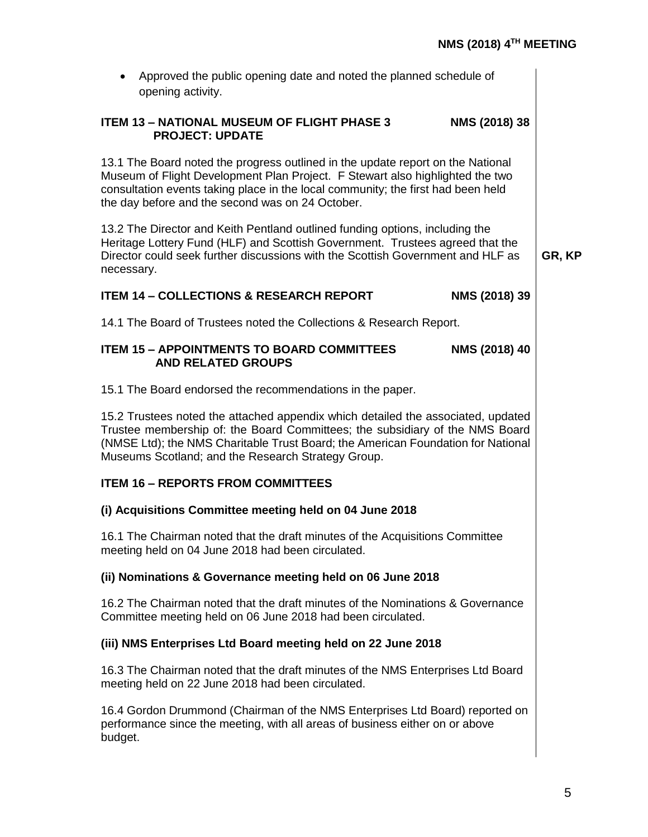| Approved the public opening date and noted the planned schedule of<br>$\bullet$<br>opening activity.                                                                                                                                                                                                       |               |        |
|------------------------------------------------------------------------------------------------------------------------------------------------------------------------------------------------------------------------------------------------------------------------------------------------------------|---------------|--------|
| <b>ITEM 13 - NATIONAL MUSEUM OF FLIGHT PHASE 3</b><br><b>PROJECT: UPDATE</b>                                                                                                                                                                                                                               | NMS (2018) 38 |        |
| 13.1 The Board noted the progress outlined in the update report on the National<br>Museum of Flight Development Plan Project. F Stewart also highlighted the two<br>consultation events taking place in the local community; the first had been held<br>the day before and the second was on 24 October.   |               |        |
| 13.2 The Director and Keith Pentland outlined funding options, including the<br>Heritage Lottery Fund (HLF) and Scottish Government. Trustees agreed that the<br>Director could seek further discussions with the Scottish Government and HLF as<br>necessary.                                             |               | GR, KP |
| <b>ITEM 14 - COLLECTIONS &amp; RESEARCH REPORT</b>                                                                                                                                                                                                                                                         | NMS (2018) 39 |        |
| 14.1 The Board of Trustees noted the Collections & Research Report.                                                                                                                                                                                                                                        |               |        |
| <b>ITEM 15 - APPOINTMENTS TO BOARD COMMITTEES</b><br><b>AND RELATED GROUPS</b>                                                                                                                                                                                                                             | NMS (2018) 40 |        |
| 15.1 The Board endorsed the recommendations in the paper.                                                                                                                                                                                                                                                  |               |        |
| 15.2 Trustees noted the attached appendix which detailed the associated, updated<br>Trustee membership of: the Board Committees; the subsidiary of the NMS Board<br>(NMSE Ltd); the NMS Charitable Trust Board; the American Foundation for National<br>Museums Scotland; and the Research Strategy Group. |               |        |
| <b>ITEM 16 - REPORTS FROM COMMITTEES</b>                                                                                                                                                                                                                                                                   |               |        |
| (i) Acquisitions Committee meeting held on 04 June 2018                                                                                                                                                                                                                                                    |               |        |
| 16.1 The Chairman noted that the draft minutes of the Acquisitions Committee<br>meeting held on 04 June 2018 had been circulated.                                                                                                                                                                          |               |        |
| (ii) Nominations & Governance meeting held on 06 June 2018                                                                                                                                                                                                                                                 |               |        |
| 16.2 The Chairman noted that the draft minutes of the Nominations & Governance<br>Committee meeting held on 06 June 2018 had been circulated.                                                                                                                                                              |               |        |
| (iii) NMS Enterprises Ltd Board meeting held on 22 June 2018                                                                                                                                                                                                                                               |               |        |
| 16.3 The Chairman noted that the draft minutes of the NMS Enterprises Ltd Board<br>meeting held on 22 June 2018 had been circulated.                                                                                                                                                                       |               |        |
| 16.4 Gordon Drummond (Chairman of the NMS Enterprises Ltd Board) reported on<br>performance since the meeting, with all areas of business either on or above<br>budget.                                                                                                                                    |               |        |